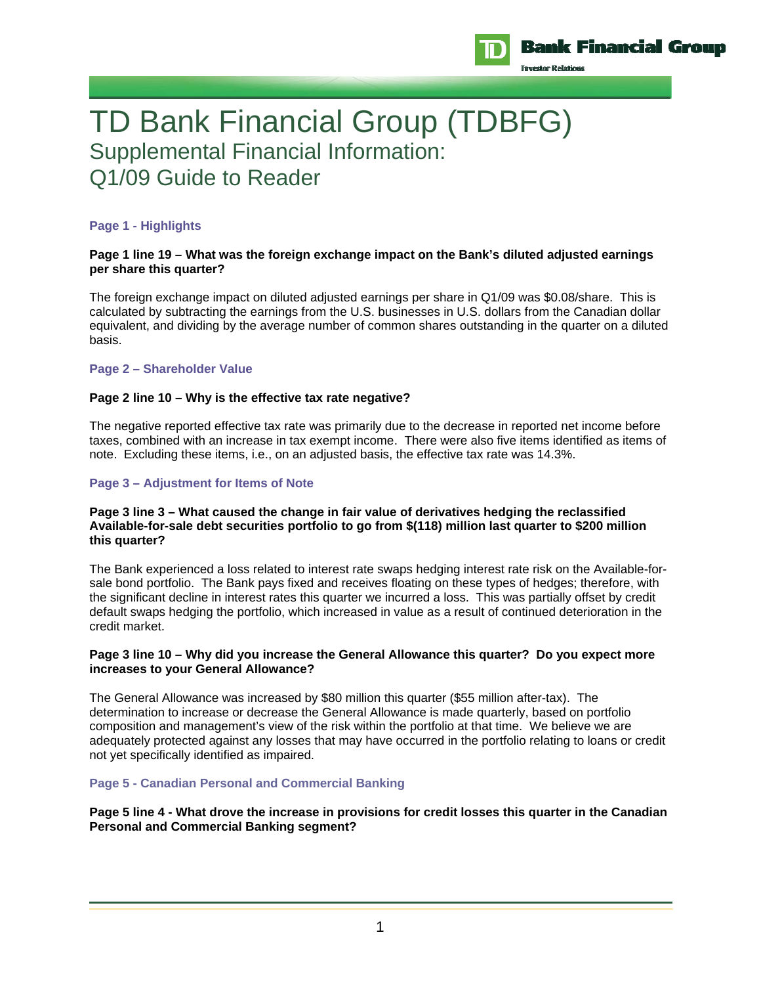

# TD Bank Financial Group (TDBFG) Supplemental Financial Information: Q1/09 Guide to Reader

## **Page 1 - Highlights**

#### **Page 1 line 19 – What was the foreign exchange impact on the Bank's diluted adjusted earnings per share this quarter?**

The foreign exchange impact on diluted adjusted earnings per share in Q1/09 was \$0.08/share. This is calculated by subtracting the earnings from the U.S. businesses in U.S. dollars from the Canadian dollar equivalent, and dividing by the average number of common shares outstanding in the quarter on a diluted basis.

## **Page 2 – Shareholder Value**

## **Page 2 line 10 – Why is the effective tax rate negative?**

The negative reported effective tax rate was primarily due to the decrease in reported net income before taxes, combined with an increase in tax exempt income. There were also five items identified as items of note. Excluding these items, i.e., on an adjusted basis, the effective tax rate was 14.3%.

## **Page 3 – Adjustment for Items of Note**

#### **Page 3 line 3 – What caused the change in fair value of derivatives hedging the reclassified Available-for-sale debt securities portfolio to go from \$(118) million last quarter to \$200 million this quarter?**

The Bank experienced a loss related to interest rate swaps hedging interest rate risk on the Available-forsale bond portfolio. The Bank pays fixed and receives floating on these types of hedges; therefore, with the significant decline in interest rates this quarter we incurred a loss. This was partially offset by credit default swaps hedging the portfolio, which increased in value as a result of continued deterioration in the credit market.

#### **Page 3 line 10 – Why did you increase the General Allowance this quarter? Do you expect more increases to your General Allowance?**

The General Allowance was increased by \$80 million this quarter (\$55 million after-tax). The determination to increase or decrease the General Allowance is made quarterly, based on portfolio composition and management's view of the risk within the portfolio at that time. We believe we are adequately protected against any losses that may have occurred in the portfolio relating to loans or credit not yet specifically identified as impaired.

#### **Page 5 - Canadian Personal and Commercial Banking**

## **Page 5 line 4 - What drove the increase in provisions for credit losses this quarter in the Canadian Personal and Commercial Banking segment?**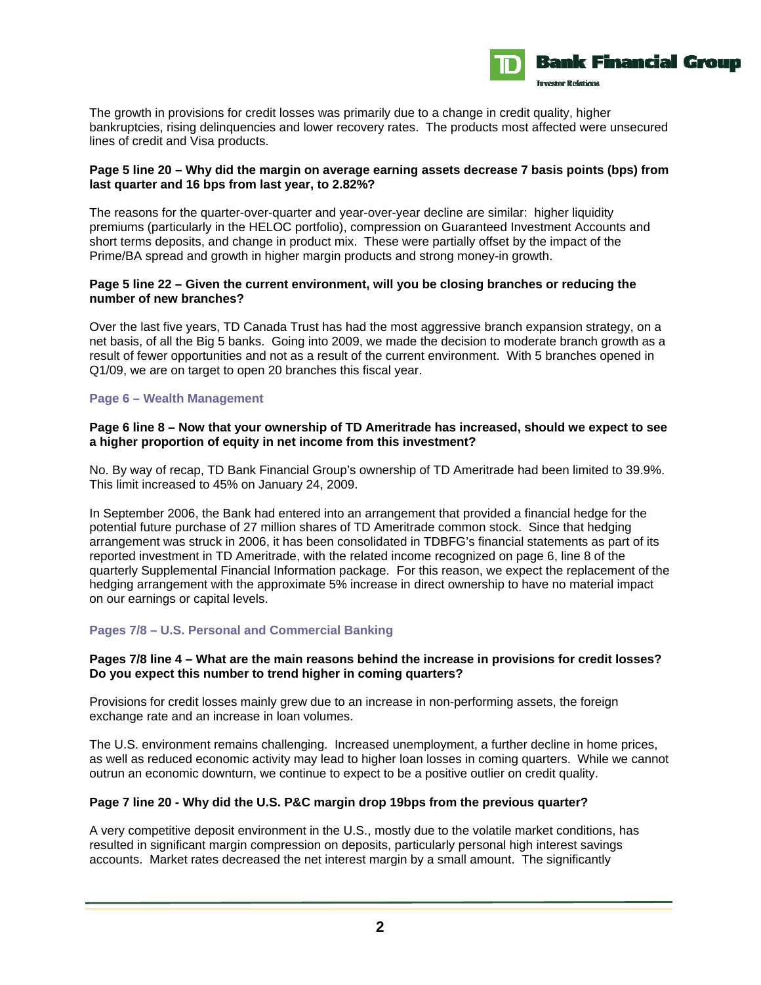

The growth in provisions for credit losses was primarily due to a change in credit quality, higher bankruptcies, rising delinquencies and lower recovery rates. The products most affected were unsecured lines of credit and Visa products.

## **Page 5 line 20 – Why did the margin on average earning assets decrease 7 basis points (bps) from last quarter and 16 bps from last year, to 2.82%?**

The reasons for the quarter-over-quarter and year-over-year decline are similar: higher liquidity premiums (particularly in the HELOC portfolio), compression on Guaranteed Investment Accounts and short terms deposits, and change in product mix. These were partially offset by the impact of the Prime/BA spread and growth in higher margin products and strong money-in growth.

## **Page 5 line 22 – Given the current environment, will you be closing branches or reducing the number of new branches?**

Over the last five years, TD Canada Trust has had the most aggressive branch expansion strategy, on a net basis, of all the Big 5 banks. Going into 2009, we made the decision to moderate branch growth as a result of fewer opportunities and not as a result of the current environment. With 5 branches opened in Q1/09, we are on target to open 20 branches this fiscal year.

## **Page 6 – Wealth Management**

#### **Page 6 line 8 – Now that your ownership of TD Ameritrade has increased, should we expect to see a higher proportion of equity in net income from this investment?**

No. By way of recap, TD Bank Financial Group's ownership of TD Ameritrade had been limited to 39.9%. This limit increased to 45% on January 24, 2009.

In September 2006, the Bank had entered into an arrangement that provided a financial hedge for the potential future purchase of 27 million shares of TD Ameritrade common stock. Since that hedging arrangement was struck in 2006, it has been consolidated in TDBFG's financial statements as part of its reported investment in TD Ameritrade, with the related income recognized on page 6, line 8 of the quarterly Supplemental Financial Information package. For this reason, we expect the replacement of the hedging arrangement with the approximate 5% increase in direct ownership to have no material impact on our earnings or capital levels.

#### **Pages 7/8 – U.S. Personal and Commercial Banking**

#### **Pages 7/8 line 4 – What are the main reasons behind the increase in provisions for credit losses? Do you expect this number to trend higher in coming quarters?**

Provisions for credit losses mainly grew due to an increase in non-performing assets, the foreign exchange rate and an increase in loan volumes.

The U.S. environment remains challenging. Increased unemployment, a further decline in home prices, as well as reduced economic activity may lead to higher loan losses in coming quarters. While we cannot outrun an economic downturn, we continue to expect to be a positive outlier on credit quality.

#### **Page 7 line 20 - Why did the U.S. P&C margin drop 19bps from the previous quarter?**

A very competitive deposit environment in the U.S., mostly due to the volatile market conditions, has resulted in significant margin compression on deposits, particularly personal high interest savings accounts. Market rates decreased the net interest margin by a small amount. The significantly